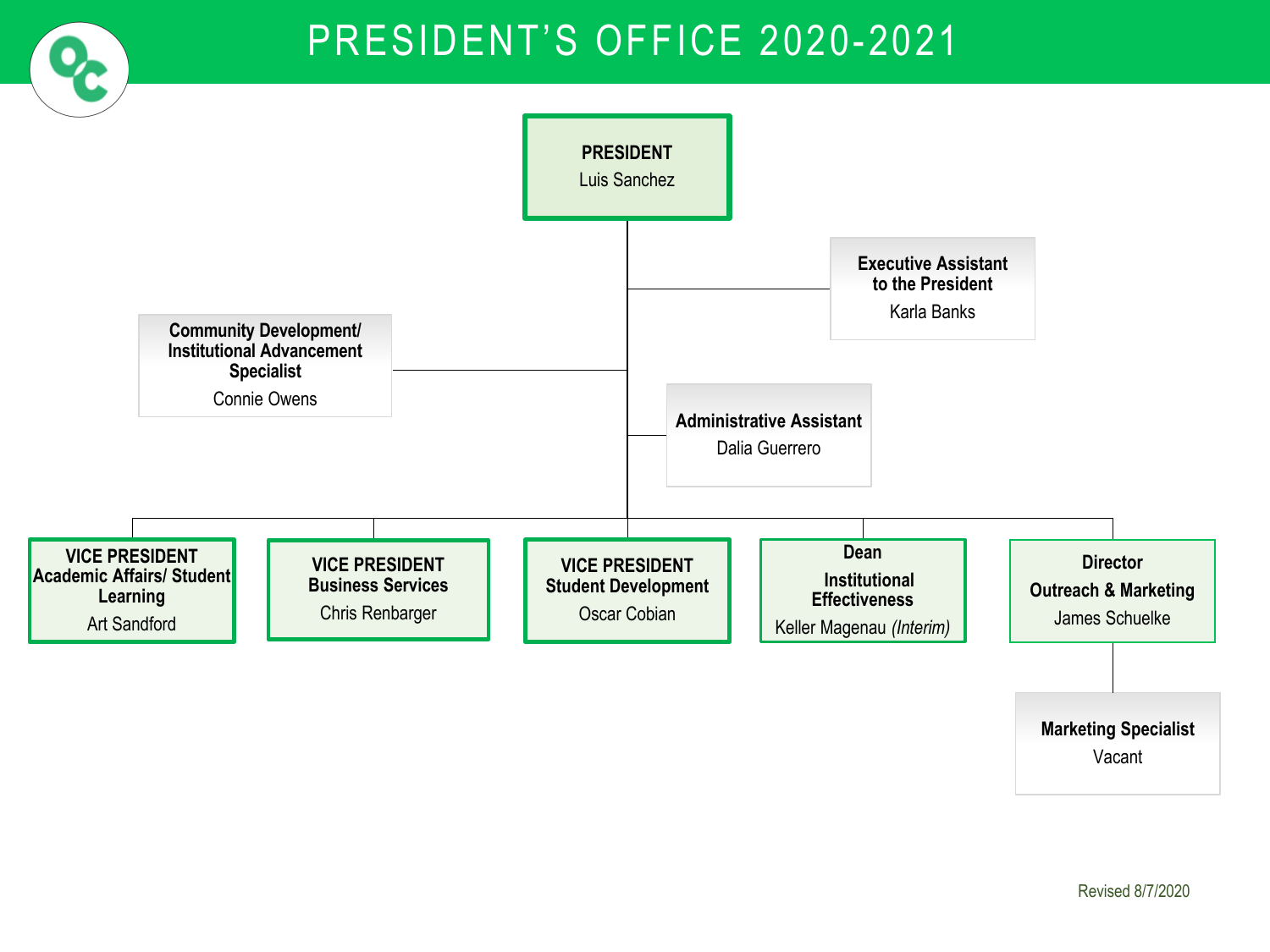## PRESIDENT'S OFFICE 2020-2021

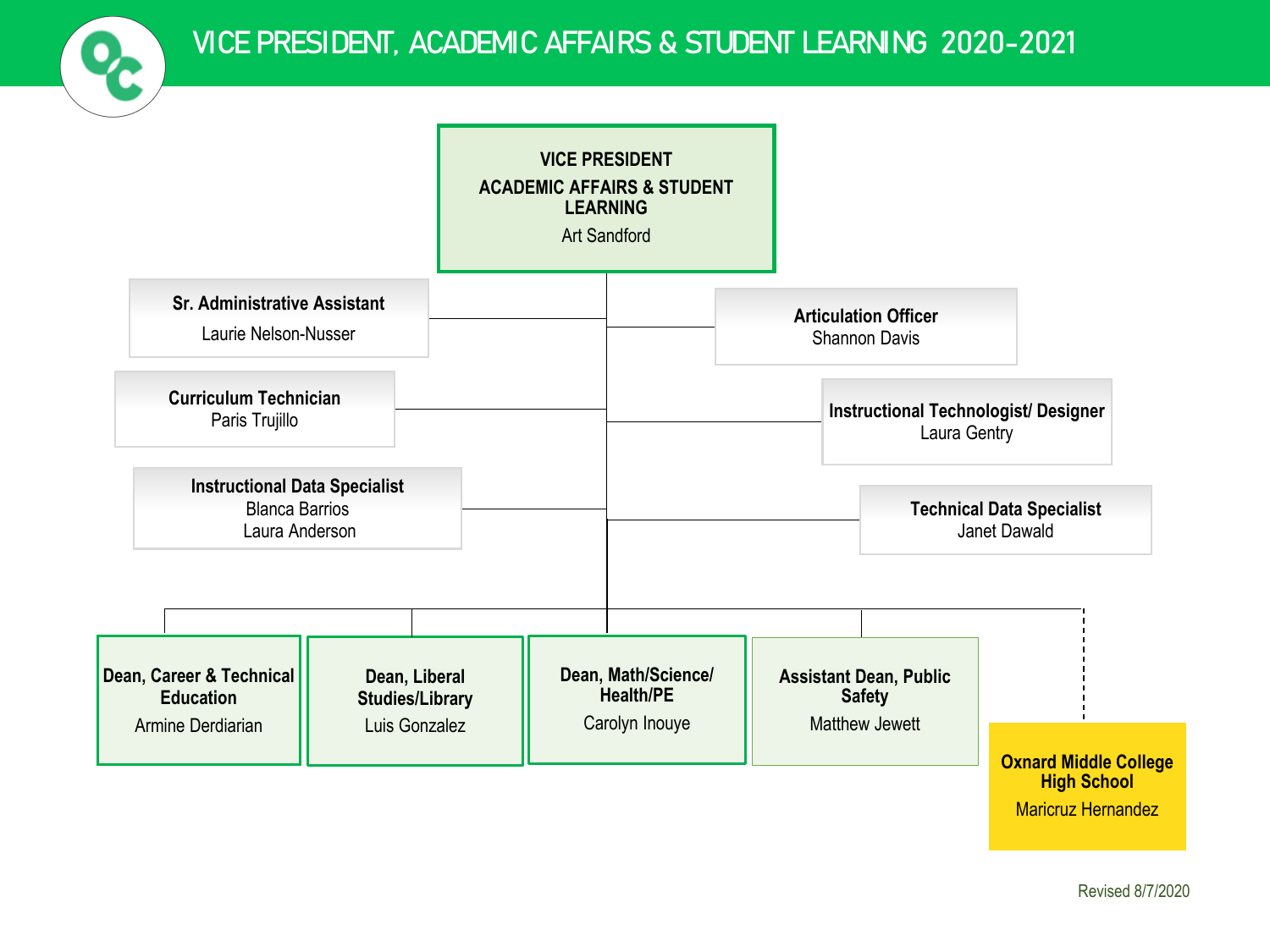

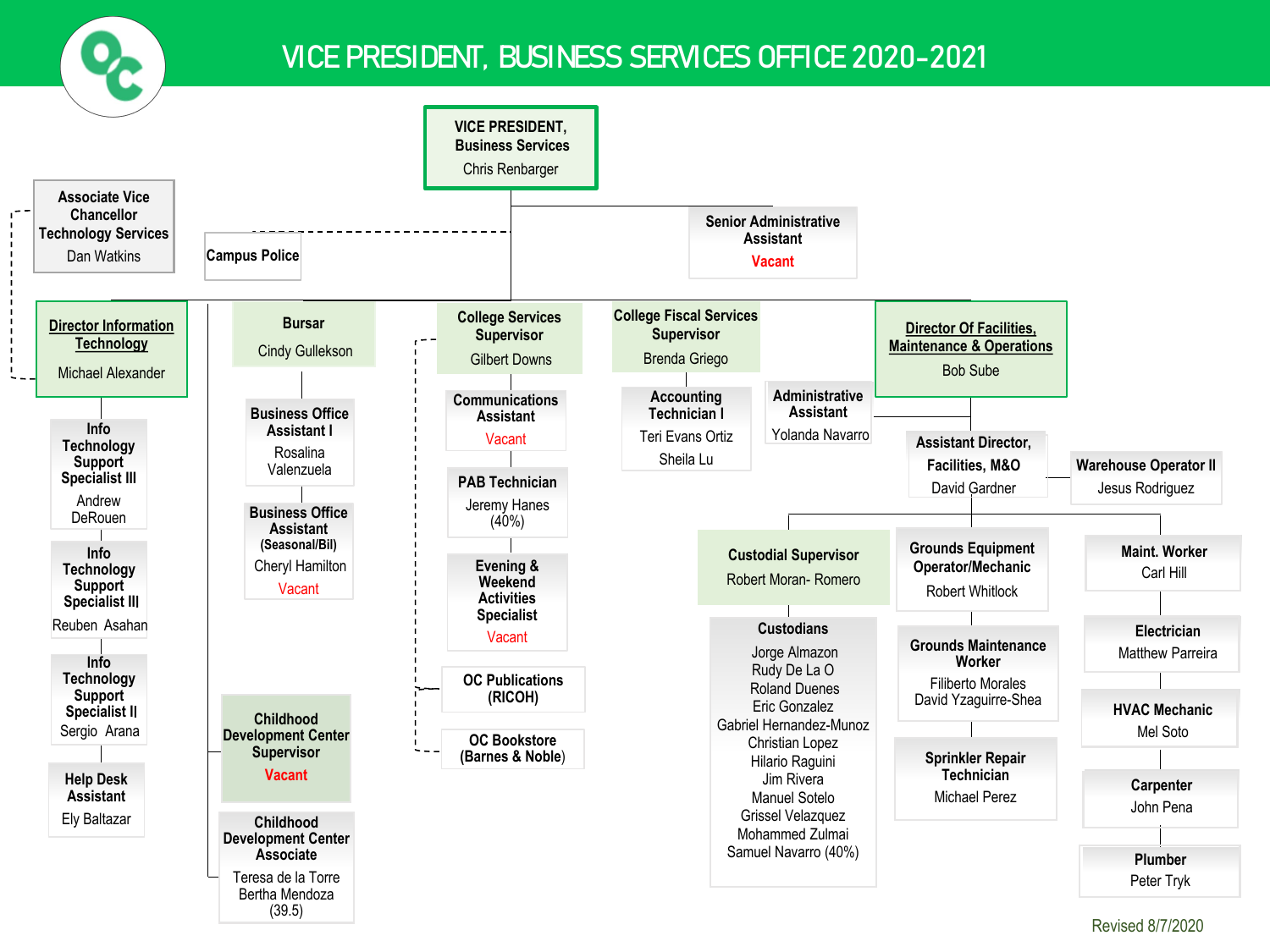